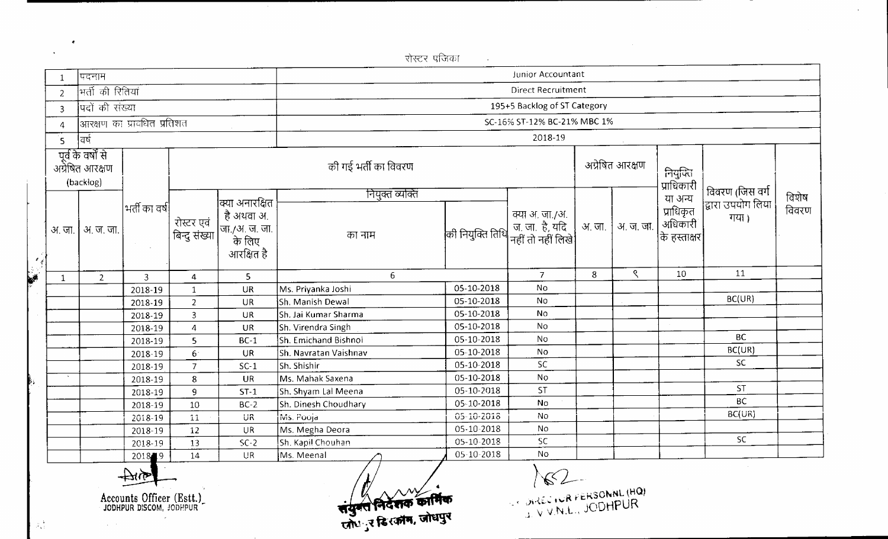|           |                         |                                                    |                |                             |                                                              | रोस्टर पंजिका               |                              |                                                         |        |           |                                      |                                       |                |  |  |
|-----------|-------------------------|----------------------------------------------------|----------------|-----------------------------|--------------------------------------------------------------|-----------------------------|------------------------------|---------------------------------------------------------|--------|-----------|--------------------------------------|---------------------------------------|----------------|--|--|
|           | $\mathbf{1}$            | पदनाम                                              |                |                             |                                                              | Junior Accountant           |                              |                                                         |        |           |                                      |                                       |                |  |  |
|           | $\overline{c}$          | मती को रितियां                                     |                |                             |                                                              |                             |                              | <b>Direct Recruitment</b>                               |        |           |                                      |                                       |                |  |  |
|           | $\overline{3}$          | पदों की संख्या                                     |                |                             |                                                              |                             | 195+5 Backlog of ST Category |                                                         |        |           |                                      |                                       |                |  |  |
|           | 4                       |                                                    |                |                             |                                                              | SC-16% ST-12% BC-21% MBC 1% |                              |                                                         |        |           |                                      |                                       |                |  |  |
|           |                         | वर्ष                                               |                |                             |                                                              | 2018-19                     |                              |                                                         |        |           |                                      |                                       |                |  |  |
|           | $\overline{\mathsf{S}}$ |                                                    |                |                             |                                                              |                             |                              |                                                         |        |           |                                      |                                       |                |  |  |
|           |                         | पूर्व के वर्षों से<br>अग्रेषित आरक्षण<br>(backlog) |                |                             |                                                              | की गई भर्ती का विवरण        |                              | अग्रेषित आरक्षण                                         |        |           | नियुक्ति<br>प्राधिकारी               |                                       |                |  |  |
|           |                         |                                                    | भर्ती का वर्ष  |                             | क्या अनारक्षित                                               | नियुक्त व्यक्ति             |                              |                                                         |        |           | या अन्य                              | विवरण (जिस वर्ग<br> द्वारा उपयोग लिया | विशेष<br>विवरण |  |  |
|           | अ. जा.                  | अ. ज. जा.                                          |                | रोस्टर एवं<br>बिन्दु संख्या | है अथवा अ.<br> जा./अ. ज. जा.<br> --- के लिए<br> - आरक्षित है | का नाम                      | की नियुक्ति तिथि             | क्या अ, जा./अ.<br>  ज. ज. है, यदि<br> नहीं तो नहीं लिखे | अ. जा. | अ. ज. जा. | प्राधिकृत<br>अधिकारी<br>कि हस्ताक्षर | गया।                                  |                |  |  |
| اني<br>په |                         |                                                    |                |                             |                                                              |                             |                              |                                                         |        |           |                                      |                                       |                |  |  |
|           | $\mathbf{1}$            | $\overline{2}$                                     | $\overline{3}$ | 4                           | 5                                                            | 6                           |                              | $\overline{7}$                                          | 8      | ९         | 10                                   | 11                                    |                |  |  |
|           |                         |                                                    | 2018-19        | $\mathbf{1}$                | UR                                                           | Ms. Priyanka Joshi          | 05-10-2018                   | No                                                      |        |           |                                      | BC(UR)                                |                |  |  |
|           |                         |                                                    | 2018-19        | $\overline{2}$              | UR                                                           | Sh. Manish Dewal            | 05-10-2018                   | No                                                      |        |           |                                      |                                       |                |  |  |
|           |                         |                                                    | 2018-19        | $\overline{3}$              | UR                                                           | Sh. Jai Kumar Sharma        | 05-10-2018                   | No                                                      |        |           |                                      |                                       |                |  |  |
|           |                         |                                                    | 2018-19        | $\overline{A}$              | UR                                                           | Sh. Virendra Singh          | 05-10-2018                   | No                                                      |        |           |                                      | <b>BC</b>                             |                |  |  |
|           |                         |                                                    | 2018-19        | 5                           | $BC-1$                                                       | Sh. Emichand Bishnoi        | 05-10-2018                   | No                                                      |        |           |                                      | BC(UR)                                |                |  |  |
|           |                         |                                                    | 2018-19        | 6 <sup>1</sup>              | <b>UR</b>                                                    | Sh. Navratan Vaishnav       | 05-10-2018                   | No                                                      |        |           |                                      | SC.                                   |                |  |  |
|           |                         |                                                    | 2018-19        | $\overline{7}$              | $SC-1$                                                       | Sh. Shishir                 | 05-10-2018                   | SC                                                      |        |           |                                      |                                       |                |  |  |
|           |                         |                                                    | 2018-19        | 8                           | <b>UR</b>                                                    | Ms. Mahak Saxena            | 05-10-2018                   | <b>No</b><br><b>ST</b>                                  |        |           |                                      | <b>ST</b>                             |                |  |  |
|           |                         |                                                    | 2018-19        | 9                           | $ST-1$                                                       | Sh. Shyam Lal Meena         | 05-10-2018                   |                                                         |        |           |                                      | <b>BC</b>                             |                |  |  |
|           |                         |                                                    | 2018-19        | 10                          | $BC-2$                                                       | Sh. Dinesh Choudhary        | 05-10-2018                   | No                                                      |        |           |                                      | BC(UR)                                |                |  |  |
|           |                         |                                                    | 2018-19        | $11\,$                      | UR                                                           | Ms. Pooja                   | 05-10-2018                   | No                                                      |        |           |                                      |                                       |                |  |  |
|           |                         |                                                    | 2018-19        | 12                          | <b>UR</b>                                                    | Ms. Megha Deora             | 05-10-2018                   | No                                                      |        |           |                                      | SC.                                   |                |  |  |
|           |                         |                                                    | 2018-19        | 13                          | $SC-2$                                                       | Sh. Kapil Chouhan           | 05-10-2018                   | SC                                                      |        |           |                                      |                                       |                |  |  |
|           |                         |                                                    | 2018 9         | 14                          | <b>UR</b>                                                    | Ms. Meenal                  | 05-10-2018                   | No                                                      |        |           |                                      |                                       |                |  |  |

 $-20189$ 

 $\Delta \sim 0.5$ 

n<br>25-10<br>25-10<br>2010 कर कार्मिक<br>21: उ दि रज़ीम, जोधपुर নির্বরক $^{\circ}$ 

 $\frac{1}{2}$  $\mathbf{J}_\mathrm{c}$ 

 $\frac{1}{2} \frac{1}{2}$ 

 $\pmb{\epsilon}$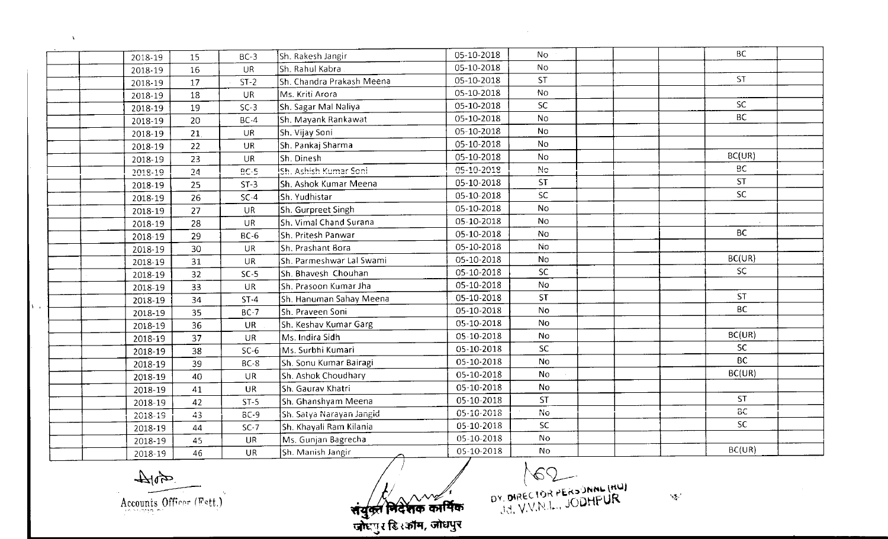| 2018-19 | 15     | $BC-3$    | Sh. Rakesh Jangir                             | 05-10-2018 | No.         | <b>BC</b> |  |
|---------|--------|-----------|-----------------------------------------------|------------|-------------|-----------|--|
| 2018-19 | 16     | UR.       | Sh. Rahul Kabra                               | 05-10-2018 | <b>No</b>   |           |  |
| 2018-19 | 17     | $ST-2$    | Sh. Chandra Prakash Meena                     | 05-10-2018 | <b>ST</b>   | <b>ST</b> |  |
| 2018-19 | 18     | <b>UR</b> | Ms. Kriti Arora                               | 05-10-2018 | No.         |           |  |
| 2018-19 | 19     | $SC-3$    | Sh. Sagar Mal Naliya                          | 05-10-2018 | SC.         | SC.       |  |
| 2018-19 | 20     | $BC-4$    | Sh. Mayank Rankawat                           | 05-10-2018 | No.         | <b>BC</b> |  |
| 2018-19 | 21     | <b>UR</b> | Sh. Vijay Soni                                | 05-10-2018 | <b>No</b>   |           |  |
| 2018-19 | 22     | <b>UR</b> | Sh. Pankaj Sharma                             | 05-10-2018 | <b>No</b>   |           |  |
| 2018-19 | 23     | UR.       | Sh. Dinesh                                    | 05-10-2018 | <b>No</b>   | BC(UR)    |  |
| 2018-19 | $24\,$ | $BC-5$    | lsh. Ashish Kumar Soni.                       | 05-10-2018 | $N_{\rm C}$ | BC.       |  |
| 2018-19 | 25     | $ST-3$    | <b>Sh. Ashok Kumar Meena</b>                  | 05-10-2018 | ST.         | <b>ST</b> |  |
| 2018-19 | 26     | $SC-4$    | Sh. Yudhistar                                 | 05-10-2018 | SC.         | SC.       |  |
| 2018-19 | 27     | <b>UR</b> | Sh. Gurpreet Singh                            | 05-10-2018 | <b>No</b>   |           |  |
| 2018-19 | 28     | <b>UR</b> | Sh. Vimal Chand Surana                        | 05-10-2018 | <b>No</b>   |           |  |
| 2018-19 | 29     | $BC-6$    | Sh. Pritesh Panwar                            | 05-10-2018 | No          | BC.       |  |
| 2018-19 | 30     | <b>UR</b> | Sh. Prashant Bora                             | 05-10-2018 | No          |           |  |
| 2018-19 | 31     | <b>UR</b> | Sh. Parmeshwar Lal Swami                      | 05-10-2018 | No          | BC(UR)    |  |
| 2018-19 | 32     | $SC-5$    | Sh. Bhavesh Chouhan                           | 05-10-2018 | <b>SC</b>   | SC.       |  |
| 2018-19 | 33     | UR        | Sh. Prasoon Kumar Jha                         | 05-10-2018 | No          |           |  |
| 2018-19 | 34     | $ST-4$    | Sh. Hanuman Sahay Meena                       | 05-10-2018 | ST.         | <b>ST</b> |  |
| 2018-19 | 35     | $BC-7$    | lsh. Praveen Soni-                            | 05-10-2018 | <b>No</b>   | <b>BC</b> |  |
| 2018-19 | 36     | <b>UR</b> | Sh. Keshav Kumar Garg                         | 05-10-2018 | <b>No</b>   |           |  |
| 2018-19 | 37     | <b>UR</b> | $\vert$ Ms. Indira Sidh                       | 05-10-2018 | <b>No</b>   | BC(UR)    |  |
| 2018-19 | 38     | $SC-6$    | Ms. Surbhi Kumari                             | 05-10-2018 | <b>SC</b>   | SC.       |  |
| 2018-19 | 39     | $BC-8$    | Sh. Sonu Kumar Bairagi                        | 05-10-2018 | No          | <b>BC</b> |  |
| 2018-19 | 40     | <b>UR</b> | Sh. Ashok Choudhary                           | 05-10-2018 | <b>No</b>   | BC(UR)    |  |
| 2018-19 | 41     | <b>UR</b> | İSh. Gaurav Khatri                            | 05-10-2018 | <b>No</b>   |           |  |
| 2018-19 | 42     | $ST-5$    | Sh. Ghanshyam Meena                           | 05-10-2018 | <b>ST</b>   | <b>ST</b> |  |
| 2018-19 | 43     | $BC-9$    | Sh. Satya Narayan Jangid                      | 05-10-2018 | No          | BС        |  |
| 2018-19 | 44     | $SC-7$    | Sh. Khayali Ram Kilania                       | 05-10-2018 | SC.         | SC.       |  |
| 2018-19 | 45     | UR        | Ms. Gunjan Bagrecha                           | 05-10-2018 | No          |           |  |
| 2018-19 | 46     | <b>UR</b> | Sh. Manish Jangir<br>$\overline{\phantom{a}}$ | 05-10-2018 | <b>No</b>   | BC(UR)    |  |

 $404$ Accounts Officer (Fett.)

 $\Delta$ 

संयुक्त भिदेशक कार्पिक<br>जोधपुर डिश्कोम, जोधपुर

DY. DIRECTOR PERSONNL (HW)

 $\sim 10^6$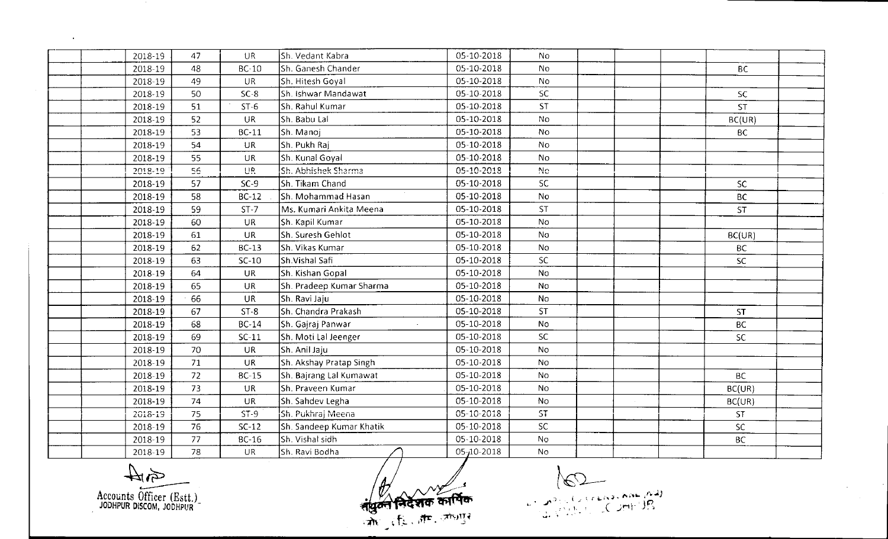| 2018-19 | 47 | UR.          | Sh. Vedant Kabra         | 05-10-2018       | No             |           |  |
|---------|----|--------------|--------------------------|------------------|----------------|-----------|--|
| 2018-19 | 48 | $BC-10$      | Sh. Ganesh Chander       | 05-10-2018       | <b>No</b>      | BC.       |  |
| 2018-19 | 49 | <b>UR</b>    | Sh. Hitesh Goyal         | 05-10-2018       | No.            |           |  |
| 2018-19 | 50 | $SC-8$       | Sh. Ishwar Mandawat      | 05-10-2018       | SC.            | SC.       |  |
| 2018-19 | 51 | $ST-6$       | Sh. Rahul Kumar          | 05-10-2018       | <b>ST</b>      | <b>ST</b> |  |
| 2018-19 | 52 | UR.          | Sh. Babu Lal             | 05-10-2018       | No             | BC(UR)    |  |
| 2018-19 | 53 | <b>BC-11</b> | Sh. Manoj                | 05-10-2018       | <b>No</b>      | <b>BC</b> |  |
| 2018-19 | 54 | UR           | Sh. Pukh Raj             | 05-10-2018       | No.            |           |  |
| 2018-19 | 55 | <b>UR</b>    | Sh. Kunal Goyal          | 05-10-2018       | No.            |           |  |
| 2018-19 | 56 | UR.          | Sh. Abhishek Sharma      | 05-10-2018       | N <sub>O</sub> |           |  |
| 2018-19 | 57 | $SC-9$       | Sh. Tikam Chand          | 05-10-2018       | <b>SC</b>      | SC.       |  |
| 2018-19 | 58 | $BC-12$      | Sh. Mohammad Hasan       | 05-10-2018       | <b>No</b>      | <b>BC</b> |  |
| 2018-19 | 59 | $ST-7$       | Ms. Kumari Ankita Meena  | 05-10-2018       | <b>ST</b>      | <b>ST</b> |  |
| 2018-19 | 60 | UR           | Sh. Kapil Kumar          | 05-10-2018       | <b>No</b>      |           |  |
| 2018-19 | 61 | <b>UR</b>    | Sh. Suresh Gehlot        | 05-10-2018       | <b>No</b>      | BC(UR)    |  |
| 2018-19 | 62 | <b>BC-13</b> | Sh. Vikas Kumar          | 05-10-2018       | <b>No</b>      | <b>BC</b> |  |
| 2018-19 | 63 | $SC-10$      | Sh.Vishal Safi           | 05-10-2018       | <b>SC</b>      | SC        |  |
| 2018-19 | 64 | <b>UR</b>    | Sh. Kishan Gopal         | 05-10-2018       | No             |           |  |
| 2018-19 | 65 | <b>UR</b>    | Sh. Pradeep Kumar Sharma | 05-10-2018       | <b>No</b>      |           |  |
| 2018-19 | 66 | <b>UR</b>    | Sh. Ravi Jaju            | 05-10-2018       | <b>No</b>      |           |  |
| 2018-19 | 67 | $ST-8$       | Sh. Chandra Prakash      | 05-10-2018       | <b>ST</b>      | <b>ST</b> |  |
| 2018-19 | 68 | <b>BC-14</b> | Sh. Gajraj Panwar        | 05-10-2018       | <b>No</b>      | <b>BC</b> |  |
| 2018-19 | 69 | $SC-11$      | Sh. Moti Lal Jeenger     | 05-10-2018       | SC.            | <b>SC</b> |  |
| 2018-19 | 70 | <b>UR</b>    | Sh. Anil Jaju            | 05-10-2018       | N <sub>o</sub> |           |  |
| 2018-19 | 71 | <b>UR</b>    | Sh. Akshay Pratap Singh  | 05-10-2018       | No.            |           |  |
| 2018-19 | 72 | $BC-15$      | Sh. Bajrang Lal Kumawat  | 05-10-2018       | <b>No</b>      | <b>BC</b> |  |
| 2018-19 | 73 | <b>UR</b>    | Sh. Praveen Kumar        | 05-10-2018       | <b>No</b>      | BC(UR)    |  |
| 2018-19 | 74 | <b>UR</b>    | Sh. Sahdev Legha         | 05-10-2018       | No             | BC(UR)    |  |
| 2018-19 | 75 | $ST-9$       | Sh. Pukhraj Meena        | 05-10-2018       | 5T             | <b>ST</b> |  |
| 2018-19 | 76 | $SC-12$      | Sh. Sandeep Kumar Khatik | 05-10-2018       | <b>SC</b>      | <b>SC</b> |  |
| 2018-19 | 77 | <b>BC-16</b> | Sh. Vishal sidh          | 05-10-2018       | <b>No</b>      | <b>BC</b> |  |
| 2018-19 | 78 | <b>UR</b>    | Sh. Ravi Bodha           | $05 - 10 - 2018$ | <b>No</b>      |           |  |

全平 Accounts Officer (Estt.)

 $\bullet$ 

संयुक्त निर्देशक कार्पिक

NO COMMANDAD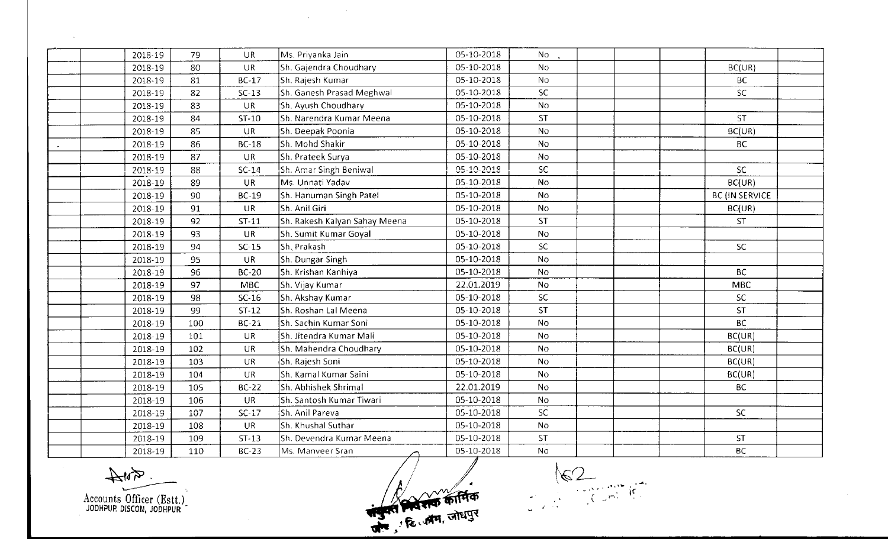| 2018-19 | 79  | <b>UR</b>    | Ms. Priyanka Jain             | 05-10-2018 | No.            |                       |  |
|---------|-----|--------------|-------------------------------|------------|----------------|-----------------------|--|
| 2018-19 | 80  | <b>UR</b>    | Sh. Gajendra Choudhary        | 05-10-2018 | N <sub>o</sub> | BC(UR)                |  |
| 2018-19 | 81  | $BC-17$      | Sh. Rajesh Kumar              | 05-10-2018 | N <sub>o</sub> | <b>BC</b>             |  |
| 2018-19 | 82  | $SC-13$      | Sh. Ganesh Prasad Meghwal     | 05-10-2018 | SC.            | <b>SC</b>             |  |
| 2018-19 | 83  | <b>UR</b>    | Sh. Ayush Choudhary           | 05-10-2018 | No.            |                       |  |
| 2018-19 | 84  | $ST-10$      | Sh. Narendra Kumar Meena      | 05-10-2018 | <b>ST</b>      | <b>ST</b>             |  |
| 2018-19 | 85  | $\cup R$     | Sh. Deepak Poonia             | 05-10-2018 | No             | BC(UR)                |  |
| 2018-19 | 86  | $BC-18$      | Sh. Mohd Shakir               | 05-10-2018 | No.            | <b>BC</b>             |  |
| 2018-19 | 87  | <b>UR</b>    | Sh. Prateek Surya             | 05-10-2018 | <b>No</b>      |                       |  |
| 2018-19 | 88  | $SC-14$      | Sh. Amar Singh Beniwal        | 05-10-2018 | SC.            | SC                    |  |
| 2018-19 | 89  | <b>UR</b>    | Ms. Unnati Yadav              | 05-10-2018 | <b>No</b>      | BC(UR)                |  |
| 2018-19 | 90  | <b>BC-19</b> | Sh. Hanuman Singh Patel       | 05-10-2018 | <b>No</b>      | <b>BC (IN SERVICE</b> |  |
| 2018-19 | 91  | <b>UR</b>    | Sh. Anil Giri                 | 05-10-2018 | <b>No</b>      | BC(UR)                |  |
| 2018-19 | 92  | $ST-11$      | Sh. Rakesh Kalyan Sahay Meena | 05-10-2018 | <b>ST</b>      | <b>ST</b>             |  |
| 2018-19 | 93  | <b>UR</b>    | Sh. Sumit Kumar Goyal         | 05-10-2018 | No             |                       |  |
| 2018-19 | 94  | $SC-15$      | Sh. Prakash                   | 05-10-2018 | <b>SC</b>      | SC.                   |  |
| 2018-19 | 95  | <b>UR</b>    | Sh. Dungar Singh              | 05-10-2018 | <b>No</b>      |                       |  |
| 2018-19 | 96  | <b>BC-20</b> | Sh. Krishan Kanhiya           | 05-10-2018 | <b>No</b>      | <b>BC</b>             |  |
| 2018-19 | 97  | <b>MBC</b>   | Sh. Vijay Kumar               | 22.01.2019 | <b>No</b>      | <b>MBC</b>            |  |
| 2018-19 | 98  | $SC-16$      | Sh. Akshay Kumar              | 05-10-2018 | <b>SC</b>      | <b>SC</b>             |  |
| 2018-19 | 99  | $ST-12$      | Sh. Roshan Lal Meena          | 05-10-2018 | <b>ST</b>      | <b>ST</b>             |  |
| 2018-19 | 100 | <b>BC-21</b> | Sh. Sachin Kumar Soni         | 05-10-2018 | No             | <b>BC</b>             |  |
| 2018-19 | 101 | <b>UR</b>    | Sh. Jitendra Kumar Mali       | 05-10-2018 | No             | BC(UR)                |  |
| 2018-19 | 102 | <b>UR</b>    | Sh. Mahendra Choudhary        | 05-10-2018 | No.            | BC(UR)                |  |
| 2018-19 | 103 | <b>UR</b>    | Sh. Rajesh Soni               | 05-10-2018 | No             | BC(UR)                |  |
| 2018-19 | 104 | <b>UR</b>    | Sh. Kamal Kumar Saini         | 05-10-2018 | <b>No</b>      | BC(UR)                |  |
| 2018-19 | 105 | <b>BC-22</b> | Sh. Abhishek Shrimal          | 22.01.2019 | <b>No</b>      | <b>BC</b>             |  |
| 2018-19 | 106 | <b>UR</b>    | Sh. Santosh Kumar Tiwari      | 05-10-2018 | <b>No</b>      |                       |  |
| 2018-19 | 107 | $SC-17$      | Sh. Anil Pareva               | 05-10-2018 | SC             | <b>SC</b>             |  |
| 2018-19 | 108 | UR.          | Sh. Khushal Suthar            | 05-10-2018 | <b>No</b>      |                       |  |
| 2018-19 | 109 | $ST-13$      | Sh. Devendra Kumar Meena      | 05-10-2018 | <b>ST</b>      | <b>ST</b>             |  |
| 2018-19 | 110 | <b>BC-23</b> | Ms. Manveer Sran<br>$\sim$    | 05-10-2018 | <b>No</b>      | <b>BC</b>             |  |

 $\label{eq:2.1} \frac{1}{\sqrt{2\pi}}\sum_{\mathbf{k}\in\mathbb{Z}}\frac{1}{\sqrt{2\pi}}\sum_{\mathbf{k}\in\mathbb{Z}}\frac{1}{\sqrt{2\pi}}\sum_{\mathbf{k}\in\mathbb{Z}}\frac{1}{\sqrt{2\pi}}\sum_{\mathbf{k}\in\mathbb{Z}}\frac{1}{\sqrt{2\pi}}\sum_{\mathbf{k}\in\mathbb{Z}}\frac{1}{\sqrt{2\pi}}\sum_{\mathbf{k}\in\mathbb{Z}}\frac{1}{\sqrt{2\pi}}\sum_{\mathbf{k}\in\mathbb{Z}}\frac{1}{\sqrt{2\pi}}\sum_{\mathbf{k}\in\$ 

 $\frac{1}{2}$ Accounts Officer (Estt.)

 $\sim 10^{11}$  km s

अंग्रेजिसिक कार्मिक

 $162$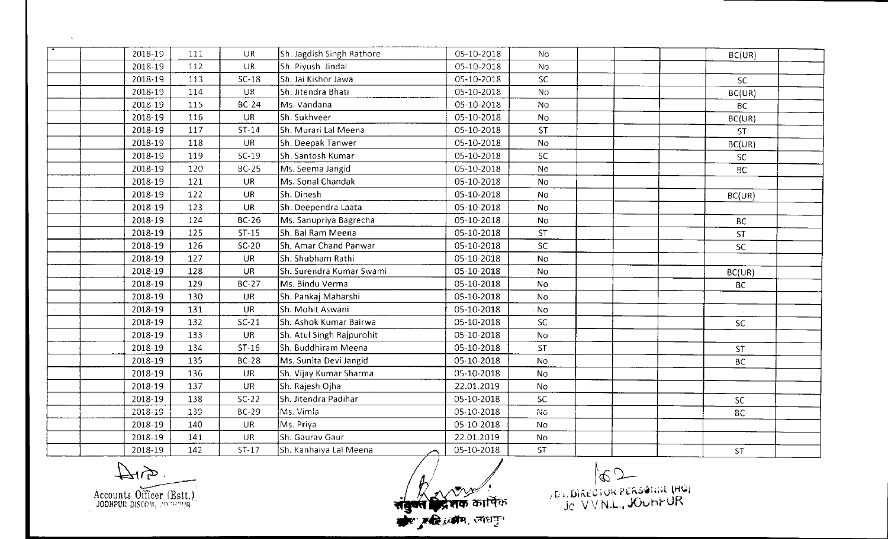| 2018-19 | 111 | <b>UR</b>    | Sh. Jagdish Singh Rathore | 05-10-2018 | No.            | BC(UR)    |  |
|---------|-----|--------------|---------------------------|------------|----------------|-----------|--|
| 2018-19 | 112 | <b>UR</b>    | Sh. Piyush Jindal         | 05-10-2018 | No             |           |  |
| 2018-19 | 113 | $SC-18$      | Sh. Jai Kishor Jawa       | 05-10-2018 | SC.            | SC.       |  |
| 2018-19 | 114 | UR.          | Sh. Jitendra Bhati        | 05-10-2018 | N <sub>o</sub> | BC(UR)    |  |
| 2018-19 | 115 | <b>BC-24</b> | Ms. Vandana               | 05-10-2018 | No.            | <b>BC</b> |  |
| 2018-19 | 116 | <b>UR</b>    | Sh. Sukhveer              | 05-10-2018 | N <sub>o</sub> | BC(UR)    |  |
| 2018-19 | 117 | $ST-14$      | Sh. Murari Lal Meena      | 05-10-2018 | ST.            | <b>ST</b> |  |
| 2018-19 | 118 | <b>UR</b>    | Sh. Deepak Tanwer         | 05-10-2018 | No.            | BC(UR)    |  |
| 2018-19 | 119 | $SC-19$      | Sh. Santosh Kumar         | 05-10-2018 | SC             | <b>SC</b> |  |
| 2018-19 | 120 | <b>BC-25</b> | Ms. Seema Jangid          | 05-10-2018 | No.            | BC.       |  |
| 2018-19 | 121 | <b>UR</b>    | Ms. Sonal Chandak         | 05-10-2018 | <b>No</b>      |           |  |
| 2018-19 | 122 | <b>UR</b>    | Sh. Dinesh                | 05-10-2018 | <b>No</b>      | BC(UR)    |  |
| 2018-19 | 123 | <b>UR</b>    | Sh. Deependra Laata       | 05-10-2018 | <b>No</b>      |           |  |
| 2018-19 | 124 | <b>BC-26</b> | Ms. Sanupriya Bagrecha    | 05-10-2018 | <b>No</b>      | <b>BC</b> |  |
| 2018-19 | 125 | $ST-15$      | Sh. Bal Ram Meena         | 05-10-2018 | <b>ST</b>      | <b>ST</b> |  |
| 2018-19 | 126 | $SC-20$      | Sh. Amar Chand Panwar     | 05-10-2018 | SC             | <b>SC</b> |  |
| 2018-19 | 127 | <b>UR</b>    | Sh. Shubham Rathi         | 05-10-2018 | <b>No</b>      |           |  |
| 2018-19 | 128 | <b>UR</b>    | Sh. Surendra Kumar Swami  | 05-10-2018 | <b>No</b>      | BC(UR)    |  |
| 2018-19 | 129 | <b>BC-27</b> | Ms. Bindu Verma           | 05-10-2018 | <b>No</b>      | <b>BC</b> |  |
| 2018-19 | 130 | <b>UR</b>    | Sh. Pankaj Maharshi       | 05-10-2018 | <b>No</b>      |           |  |
| 2018-19 | 131 | <b>UR</b>    | Sh. Mohit Aswani          | 05-10-2018 | $\cdot$ No     |           |  |
| 2018-19 | 132 | $SC-21$      | Sh. Ashok Kumar Bairwa    | 05-10-2018 | <b>SC</b>      | <b>SC</b> |  |
| 2018-19 | 133 | <b>UR</b>    | Sh. Atul Singh Rajpurohit | 05-10-2018 | No             |           |  |
| 2018-19 | 134 | $ST-16$      | Sh. Buddhiram Meena       | 05-10-2018 | <b>ST</b>      | <b>ST</b> |  |
| 2018-19 | 135 | <b>BC-28</b> | Ms. Sunita Devi Jangid    | 05-10-2018 | <b>No</b>      | <b>BC</b> |  |
| 2018-19 | 136 | UR           | Sh. Vijay Kumar Sharma    | 05-10-2018 | N <sub>0</sub> |           |  |
| 2018-19 | 137 | <b>UR</b>    | Sh. Rajesh Ojha           | 22.01.2019 | No             |           |  |
| 2018-19 | 138 | $SC-22$      | Sh. Jitendra Padihar      | 05-10-2018 | SC             | <b>SC</b> |  |
| 2018-19 | 139 | BC-29        | Ms. Vimla                 | 05-10-2018 | No             | 8C        |  |
| 2018-19 | 140 | <b>UR</b>    | Ms Priya                  | 05-10-2018 | <b>No</b>      |           |  |
| 2018-19 | 141 | <b>UR</b>    | Sh. Gaurav Gaur           | 22.01.2019 | No             |           |  |
| 2018-19 | 142 | $ST-17$      | Sh. Kanhaiya Lal Meena    | 05-10-2018 | ST             | <b>ST</b> |  |

 $\frac{1}{4}$ Accounts Officer (Estt.)

 $\sim$ 

संयुक्त क्रियंक कार्पिक<br>संयुक्त क्रियंक कार्पिक

BRECTOR PERSONAL (HC)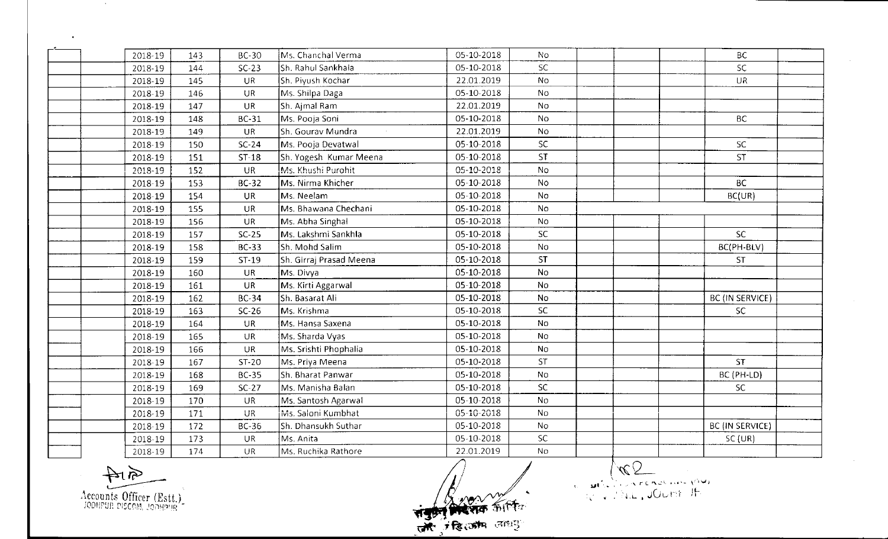| 2018-19 | 143 | <b>BC-30</b> | Ms. Chanchal Verma      | 05-10-2018 | <b>No</b>      | <b>BC</b>       |
|---------|-----|--------------|-------------------------|------------|----------------|-----------------|
| 2018-19 | 144 | $SC-23$      | Sh. Rahul Sankhala      | 05-10-2018 | <b>SC</b>      | SC.             |
| 2018-19 | 145 | <b>UR</b>    | Sh. Piyush Kochar       | 22.01.2019 | <b>No</b>      | UR.             |
| 2018-19 | 146 | UR.          | Ms. Shilpa Daga         | 05-10-2018 | No.            |                 |
| 2018-19 | 147 | <b>UR</b>    | Sh. Aimal Ram           | 22.01.2019 | No             |                 |
| 2018-19 | 148 | <b>BC-31</b> | Ms. Pooja Soni          | 05-10-2018 | No.            | <b>BC</b>       |
| 2018-19 | 149 | <b>UR</b>    | Sh. Gourav Mundra       | 22.01.2019 | No             |                 |
| 2018-19 | 150 | $SC-24$      | Ms. Pooja Devatwal      | 05-10-2018 | SC             | SC              |
| 2018-19 | 151 | $ST-18$      | Sh. Yogesh Kumar Meena  | 05-10-2018 | ST             | ST              |
| 2018-19 | 152 | <b>UR</b>    | Ms. Khushi Purohit      | 05-10-2018 | <b>No</b>      |                 |
| 2018-19 | 153 | <b>BC-32</b> | Ms. Nirma Khicher       | 05-10-2018 | No.            | <b>BC</b>       |
| 2018-19 | 154 | <b>UR</b>    | Ms. Neelam              | 05-10-2018 | <b>No</b>      | BC(UR)          |
| 2018-19 | 155 | <b>UR</b>    | Ms. Bhawana Chechani    | 05-10-2018 | <b>No</b>      |                 |
| 2018-19 | 156 | <b>UR</b>    | Ms. Abha Singhal        | 05-10-2018 | <b>No</b>      |                 |
| 2018-19 | 157 | $SC-25$      | Ms. Lakshmi Sankhla     | 05-10-2018 | <b>SC</b>      | <b>SC</b>       |
| 2018-19 | 158 | <b>BC-33</b> | Sh. Mohd Salim          | 05-10-2018 | <b>No</b>      | BC(PH-BLV)      |
| 2018-19 | 159 | $ST-19$      | Sh. Girraj Prasad Meena | 05-10-2018 | <b>ST</b>      | <b>ST</b>       |
| 2018-19 | 160 | <b>UR</b>    | Ms. Divya               | 05-10-2018 | No             |                 |
| 2018-19 | 161 | <b>UR</b>    | Ms. Kirti Aggarwal      | 05-10-2018 | No.            |                 |
| 2018-19 | 162 | <b>BC-34</b> | Sh. Basarat Ali         | 05-10-2018 | No             | BC (IN SERVICE) |
| 2018-19 | 163 | $SC-26$      | Ms. Krishma             | 05-10-2018 | <b>SC</b>      | <b>SC</b>       |
| 2018-19 | 164 | <b>UR</b>    | Ms. Hansa Saxena        | 05-10-2018 | <b>No</b>      |                 |
| 2018-19 | 165 | <b>UR</b>    | Ms. Sharda Vyas         | 05-10-2018 | No             |                 |
| 2018-19 | 166 | <b>UR</b>    | Ms. Srishti Phophalia   | 05-10-2018 | No.            |                 |
| 2018-19 | 167 | ST-20        | Ms. Priya Meena         | 05-10-2018 | ST             | <b>ST</b>       |
| 2018-19 | 168 | <b>BC-35</b> | Sh. Bharat Panwar       | 05-10-2018 | No             | BC (PH-LD)      |
| 2018-19 | 169 | $SC-27$      | Ms. Manisha Balan       | 05-10-2018 | <b>SC</b>      | SC.             |
| 2018-19 | 170 | <b>UR</b>    | Ms. Santosh Agarwal     | 05-10-2018 | N <sub>0</sub> |                 |
| 2018-19 | 171 | <b>UR</b>    | Ms. Saloni Kumbhat      | 05-10-2018 | No             |                 |
| 2018-19 | 172 | <b>BC-36</b> | Sh. Dhansukh Suthar     | 05-10-2018 | No.            | BC (IN SERVICE) |
| 2018-19 | 173 | <b>UR</b>    | Ms. Anita               | 05-10-2018 | SC             | SC(UR)          |
| 2018-19 | 174 | <b>UR</b>    | Ms. Ruchika Rathore     | 22.01.2019 | <b>No</b>      |                 |

 $40$ Accounts Officer (Estt.)

 $\sim$   $\sim$ 

 $\bullet$ 

ER ANTE

Complete de la Completion